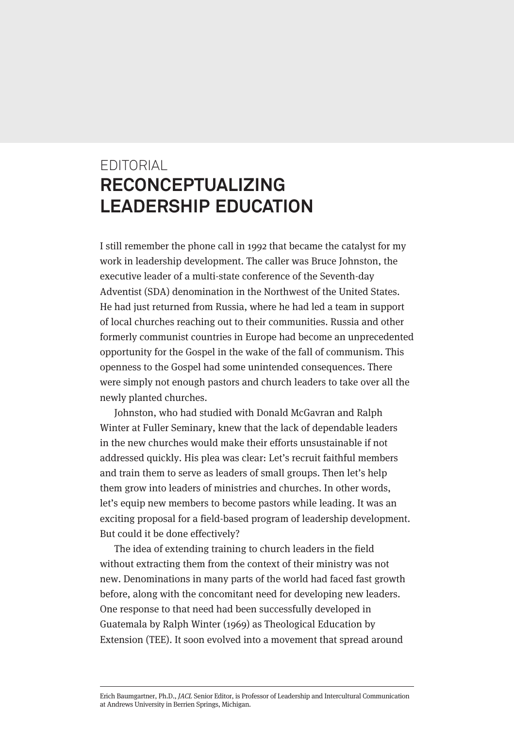## EDITORIAL **RECONCEPTUALIZING LEADERSHIP EDUCATION**

I still remember the phone call in 1992 that became the catalyst for my work in leadership development. The caller was Bruce Johnston, the executive leader of a multi-state conference of the Seventh-day Adventist (SDA) denomination in the Northwest of the United States. He had just returned from Russia, where he had led a team in support of local churches reaching out to their communities. Russia and other formerly communist countries in Europe had become an unprecedented opportunity for the Gospel in the wake of the fall of communism. This openness to the Gospel had some unintended consequences. There were simply not enough pastors and church leaders to take over all the newly planted churches.

Johnston, who had studied with Donald McGavran and Ralph Winter at Fuller Seminary, knew that the lack of dependable leaders in the new churches would make their efforts unsustainable if not addressed quickly. His plea was clear: Let's recruit faithful members and train them to serve as leaders of small groups. Then let's help them grow into leaders of ministries and churches. In other words, let's equip new members to become pastors while leading. It was an exciting proposal for a field-based program of leadership development. But could it be done effectively?

The idea of extending training to church leaders in the field without extracting them from the context of their ministry was not new. Denominations in many parts of the world had faced fast growth before, along with the concomitant need for developing new leaders. One response to that need had been successfully developed in Guatemala by Ralph Winter (1969) as Theological Education by Extension (TEE). It soon evolved into a movement that spread around

Erich Baumgartner, Ph.D., JACL Senior Editor, is Professor of Leadership and Intercultural Communication at Andrews University in Berrien Springs, Michigan.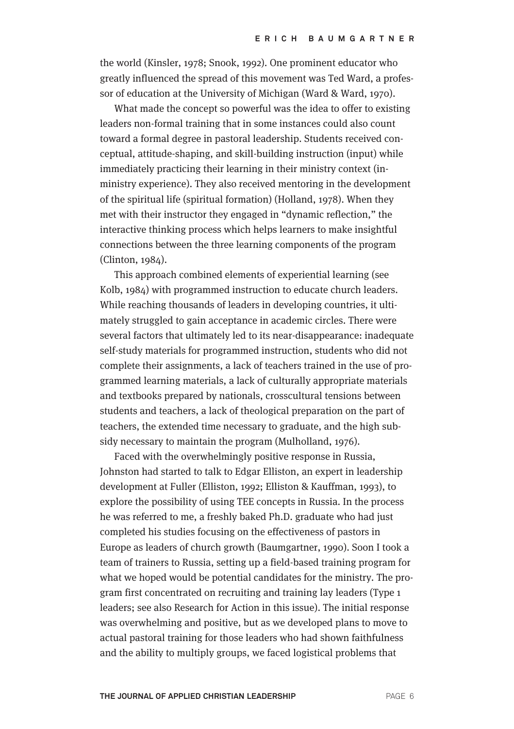the world (Kinsler, 1978; Snook, 1992). One prominent educator who greatly influenced the spread of this movement was Ted Ward, a professor of education at the University of Michigan (Ward & Ward, 1970).

What made the concept so powerful was the idea to offer to existing leaders non-formal training that in some instances could also count toward a formal degree in pastoral leadership. Students received conceptual, attitude-shaping, and skill-building instruction (input) while immediately practicing their learning in their ministry context (inministry experience). They also received mentoring in the development of the spiritual life (spiritual formation) (Holland, 1978). When they met with their instructor they engaged in "dynamic reflection," the interactive thinking process which helps learners to make insightful connections between the three learning components of the program (Clinton, 1984).

This approach combined elements of experiential learning (see Kolb, 1984) with programmed instruction to educate church leaders. While reaching thousands of leaders in developing countries, it ultimately struggled to gain acceptance in academic circles. There were several factors that ultimately led to its near-disappearance: inadequate self-study materials for programmed instruction, students who did not complete their assignments, a lack of teachers trained in the use of programmed learning materials, a lack of culturally appropriate materials and textbooks prepared by nationals, crosscultural tensions between students and teachers, a lack of theological preparation on the part of teachers, the extended time necessary to graduate, and the high subsidy necessary to maintain the program (Mulholland, 1976).

Faced with the overwhelmingly positive response in Russia, Johnston had started to talk to Edgar Elliston, an expert in leadership development at Fuller (Elliston, 1992; Elliston & Kauffman, 1993), to explore the possibility of using TEE concepts in Russia. In the process he was referred to me, a freshly baked Ph.D. graduate who had just completed his studies focusing on the effectiveness of pastors in Europe as leaders of church growth (Baumgartner, 1990). Soon I took a team of trainers to Russia, setting up a field-based training program for what we hoped would be potential candidates for the ministry. The program first concentrated on recruiting and training lay leaders (Type 1 leaders; see also Research for Action in this issue). The initial response was overwhelming and positive, but as we developed plans to move to actual pastoral training for those leaders who had shown faithfulness and the ability to multiply groups, we faced logistical problems that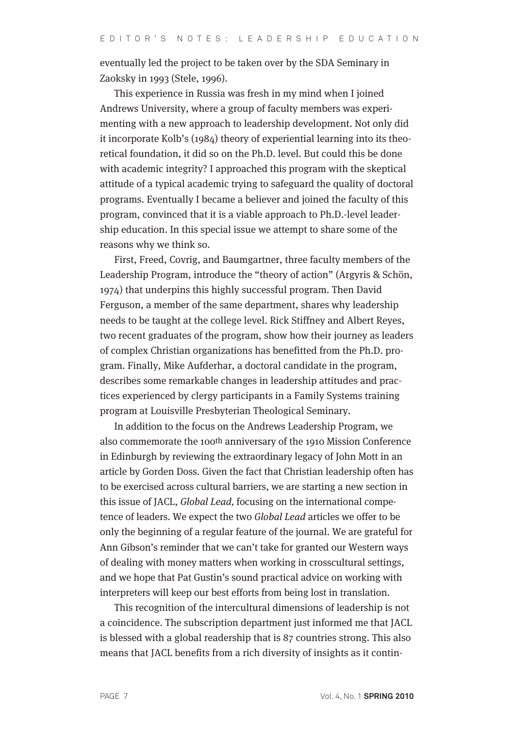eventually led the project to be taken over by the SDA Seminary in Zaoksky in 1993 (Stele, 1996).

This experience in Russia was fresh in my mind when I joined Andrews University, where a group of faculty members was experimenting with a new approach to leadership development. Not only did it incorporate Kolb's (1984) theory of experiential learning into its theoretical foundation, it did so on the Ph.D. level. But could this be done with academic integrity? I approached this program with the skeptical attitude of a typical academic trying to safeguard the quality of doctoral programs. Eventually I became a believer and joined the faculty of this program, convinced that it is a viable approach to Ph.D.-level leadership education. In this special issue we attempt to share some of the reasons why we think so.

First, Freed, Covrig, and Baumgartner, three faculty members of the Leadership Program, introduce the "theory of action" (Argyris & Schön, 1974) that underpins this highly successful program. Then David Ferguson, a member of the same department, shares why leadership needs to be taught at the college level. Rick Stiffney and Albert Reyes, two recent graduates of the program, show how their journey as leaders of complex Christian organizations has benefitted from the Ph.D. program. Finally, Mike Aufderhar, a doctoral candidate in the program, describes some remarkable changes in leadership attitudes and practices experienced by clergy participants in a Family Systems training program at Louisville Presbyterian Theological Seminary.

In addition to the focus on the Andrews Leadership Program, we also commemorate the 100th anniversary of the 1910 Mission Conference in Edinburgh by reviewing the extraordinary legacy of John Mott in an article by Gorden Doss. Given the fact that Christian leadership often has to be exercised across cultural barriers, we are starting a new section in this issue of JACL, Global Lead, focusing on the international competence of leaders. We expect the two Global Lead articles we offer to be only the beginning of a regular feature of the journal. We are grateful for Ann Gibson's reminder that we can't take for granted our Western ways of dealing with money matters when working in crosscultural settings, and we hope that Pat Gustin's sound practical advice on working with interpreters will keep our best efforts from being lost in translation.

This recognition of the intercultural dimensions of leadership is not a coincidence. The subscription department just informed me that JACL is blessed with a global readership that is 87 countries strong. This also means that JACL benefits from a rich diversity of insights as it contin